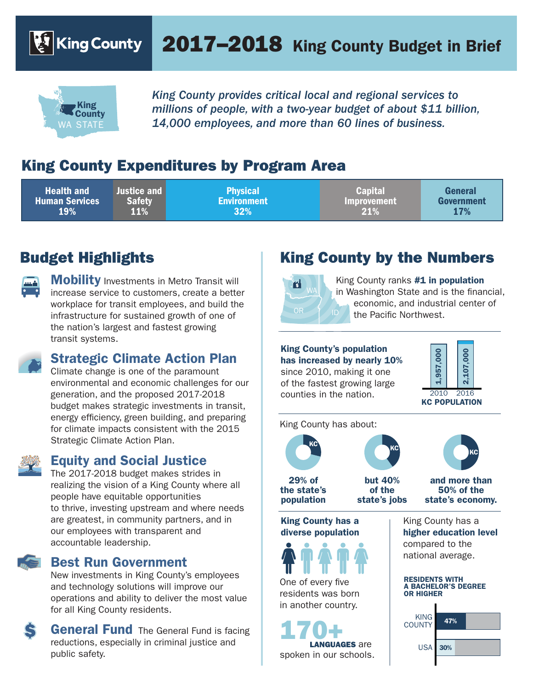$|\mathbf{\mathcal{E}}\rangle$  King County

# 2017–2018 King County Budget in Brief



*King County provides critical local and regional services to millions of people, with a two-year budget of about \$11 billion,*  WA STATE *14,000 employees, and more than 60 lines of business.* 

# King County Expenditures by Program Area

| <b>Health and</b><br><b>Justice and I</b><br><b>Safety</b><br><b>Human Services</b><br>11%<br><b>19%</b> | <b>Physical</b><br><b>Environment</b><br>$32\%$ | <b>Capital</b><br><b>Improvement</b><br>21% | General<br>Government<br><b>17%</b> |
|----------------------------------------------------------------------------------------------------------|-------------------------------------------------|---------------------------------------------|-------------------------------------|
|----------------------------------------------------------------------------------------------------------|-------------------------------------------------|---------------------------------------------|-------------------------------------|

# Budget Highlights



**Mobility** Investments in Metro Transit will increase service to customers, create a better workplace for transit employees, and build the infrastructure for sustained growth of one of the nation's largest and fastest growing transit systems.

#### Strategic Climate Action Plan

Climate change is one of the paramount environmental and economic challenges for our generation, and the proposed 2017-2018 budget makes strategic investments in transit, energy efficiency, green building, and preparing for climate impacts consistent with the 2015 Strategic Climate Action Plan.



#### Equity and Social Justice

The 2017-2018 budget makes strides in realizing the vision of a King County where all people have equitable opportunities to thrive, investing upstream and where needs are greatest, in community partners, and in our employees with transparent and accountable leadership.

#### Best Run Government

New investments in King County's employees and technology solutions will improve our operations and ability to deliver the most value for all King County residents.

**General Fund** The General Fund is facing reductions, especially in criminal justice and public safety.

# King County by the Numbers



King County ranks  $#1$  in population in Washington State and is the financial, economic, and industrial center of the Pacific Northwest.

### King County's population

has increased by nearly 10% since 2010, making it one of the fastest growing large counties in the nation.



King County has about:



29% of the state's population



but 40% of the state's jobs

and more than 50% of the state's economy.

KC

King County has a diverse population



One of every five residents was born in another country.

spoken in our schools. 170+ LANGUAGES are

King County has a higher education level compared to the national average.

#### RESIDENTS WITH A BACHELOR'S DEGREE OR HIGHER